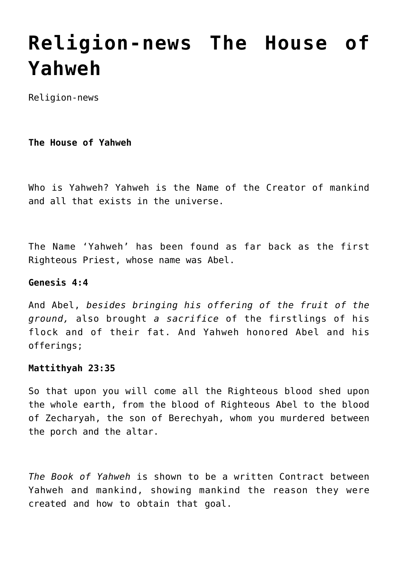# **[Religion-news The House of](https://yahwehsbranch.com/religion-news-the-house-of-yahweh/) [Yahweh](https://yahwehsbranch.com/religion-news-the-house-of-yahweh/)**

Religion-news

**The House of Yahweh**

Who is Yahweh? Yahweh is the Name of the Creator of mankind and all that exists in the universe.

The Name 'Yahweh' has been found as far back as the first Righteous Priest, whose name was Abel.

# **Genesis 4:4**

And Abel, *besides bringing his offering of the fruit of the ground,* also brought *a sacrifice* of the firstlings of his flock and of their fat. And Yahweh honored Abel and his offerings;

## **Mattithyah 23:35**

So that upon you will come all the Righteous blood shed upon the whole earth, from the blood of Righteous Abel to the blood of Zecharyah, the son of Berechyah, whom you murdered between the porch and the altar.

*The Book of Yahweh* is shown to be a written Contract between Yahweh and mankind, showing mankind the reason they were created and how to obtain that goal.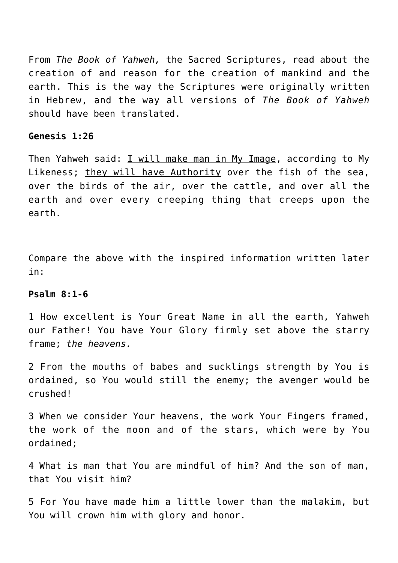From *The Book of Yahweh,* the Sacred Scriptures, read about the creation of and reason for the creation of mankind and the earth. This is the way the Scriptures were originally written in Hebrew, and the way all versions of *The Book of Yahweh* should have been translated.

#### **Genesis 1:26**

Then Yahweh said: I will make man in My Image, according to My Likeness; they will have Authority over the fish of the sea, over the birds of the air, over the cattle, and over all the earth and over every creeping thing that creeps upon the earth.

Compare the above with the inspired information written later in:

## **Psalm 8:1-6**

1 How excellent is Your Great Name in all the earth, Yahweh our Father! You have Your Glory firmly set above the starry frame; *the heavens.*

2 From the mouths of babes and sucklings strength by You is ordained, so You would still the enemy; the avenger would be crushed!

3 When we consider Your heavens, the work Your Fingers framed, the work of the moon and of the stars, which were by You ordained;

4 What is man that You are mindful of him? And the son of man, that You visit him?

5 For You have made him a little lower than the malakim, but You will crown him with glory and honor.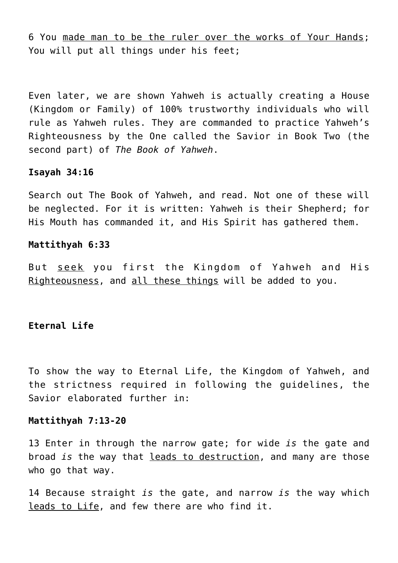6 You made man to be the ruler over the works of Your Hands; You will put all things under his feet;

Even later, we are shown Yahweh is actually creating a House (Kingdom or Family) of 100% trustworthy individuals who will rule as Yahweh rules. They are commanded to practice Yahweh's Righteousness by the One called the Savior in Book Two (the second part) of *The Book of Yahweh*.

## **Isayah 34:16**

Search out The Book of Yahweh, and read. Not one of these will be neglected. For it is written: Yahweh is their Shepherd; for His Mouth has commanded it, and His Spirit has gathered them.

#### **Mattithyah 6:33**

But seek you first the Kingdom of Yahweh and His Righteousness, and all these things will be added to you.

## **Eternal Life**

To show the way to Eternal Life, the Kingdom of Yahweh, and the strictness required in following the guidelines, the Savior elaborated further in:

## **Mattithyah 7:13-20**

13 Enter in through the narrow gate; for wide *is* the gate and broad *is* the way that leads to destruction, and many are those who go that way.

14 Because straight *is* the gate, and narrow *is* the way which leads to Life, and few there are who find it.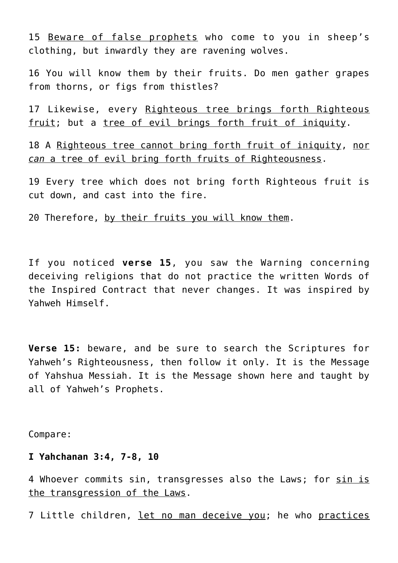15 Beware of false prophets who come to you in sheep's clothing, but inwardly they are ravening wolves.

16 You will know them by their fruits. Do men gather grapes from thorns, or figs from thistles?

17 Likewise, every Righteous tree brings forth Righteous fruit; but a tree of evil brings forth fruit of iniquity.

18 A Righteous tree cannot bring forth fruit of iniquity, nor *can* a tree of evil bring forth fruits of Righteousness.

19 Every tree which does not bring forth Righteous fruit is cut down, and cast into the fire.

20 Therefore, by their fruits you will know them.

If you noticed **verse 15**, you saw the Warning concerning deceiving religions that do not practice the written Words of the Inspired Contract that never changes. It was inspired by Yahweh Himself.

**Verse 15:** beware, and be sure to search the Scriptures for Yahweh's Righteousness, then follow it only. It is the Message of Yahshua Messiah. It is the Message shown here and taught by all of Yahweh's Prophets.

Compare:

#### **I Yahchanan 3:4, 7-8, 10**

4 Whoever commits sin, transgresses also the Laws; for sin is the transgression of the Laws.

7 Little children, let no man deceive you; he who practices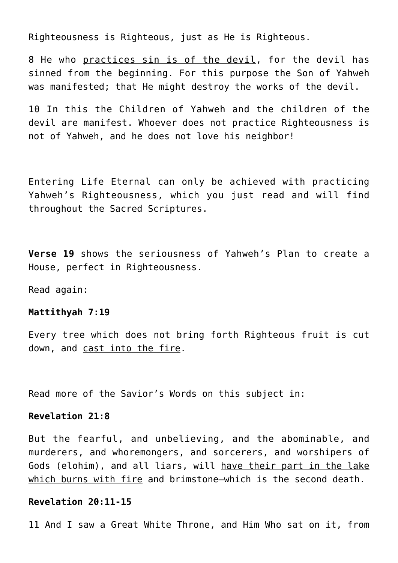Righteousness is Righteous, just as He is Righteous.

8 He who practices sin is of the devil, for the devil has sinned from the beginning. For this purpose the Son of Yahweh was manifested; that He might destroy the works of the devil.

10 In this the Children of Yahweh and the children of the devil are manifest. Whoever does not practice Righteousness is not of Yahweh, and he does not love his neighbor!

Entering Life Eternal can only be achieved with practicing Yahweh's Righteousness, which you just read and will find throughout the Sacred Scriptures.

**Verse 19** shows the seriousness of Yahweh's Plan to create a House, perfect in Righteousness.

Read again:

#### **Mattithyah 7:19**

Every tree which does not bring forth Righteous fruit is cut down, and cast into the fire.

Read more of the Savior's Words on this subject in:

# **Revelation 21:8**

But the fearful, and unbelieving, and the abominable, and murderers, and whoremongers, and sorcerers, and worshipers of Gods (elohim), and all liars, will have their part in the lake which burns with fire and brimstone—which is the second death.

## **Revelation 20:11-15**

11 And I saw a Great White Throne, and Him Who sat on it, from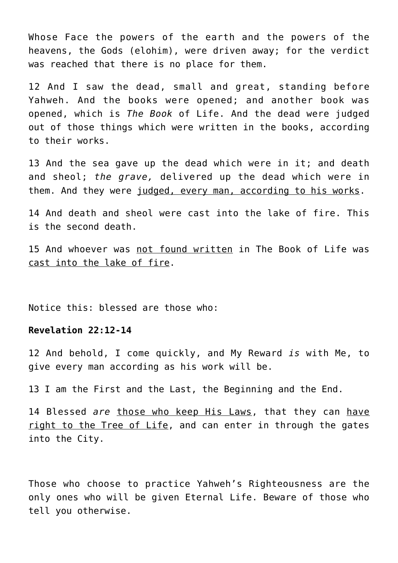Whose Face the powers of the earth and the powers of the heavens, the Gods (elohim), were driven away; for the verdict was reached that there is no place for them.

12 And I saw the dead, small and great, standing before Yahweh. And the books were opened; and another book was opened, which is *The Book* of Life. And the dead were judged out of those things which were written in the books, according to their works.

13 And the sea gave up the dead which were in it; and death and sheol; *the grave,* delivered up the dead which were in them. And they were judged, every man, according to his works.

14 And death and sheol were cast into the lake of fire. This is the second death.

15 And whoever was not found written in The Book of Life was cast into the lake of fire.

Notice this: blessed are those who:

# **Revelation 22:12-14**

12 And behold, I come quickly, and My Reward *is* with Me, to give every man according as his work will be.

13 I am the First and the Last, the Beginning and the End.

14 Blessed *are* those who keep His Laws, that they can have right to the Tree of Life, and can enter in through the gates into the City.

Those who choose to practice Yahweh's Righteousness are the only ones who will be given Eternal Life. Beware of those who tell you otherwise.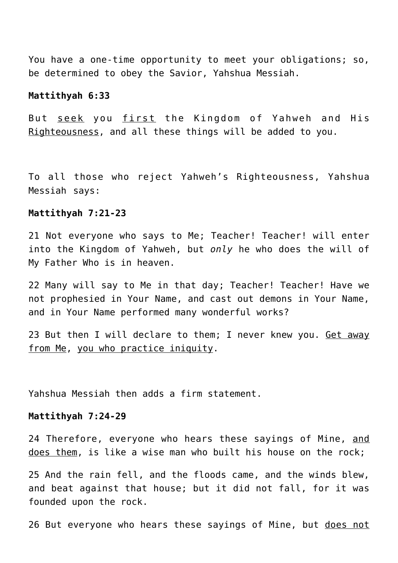You have a one-time opportunity to meet your obligations; so, be determined to obey the Savior, Yahshua Messiah.

#### **Mattithyah 6:33**

But seek you first the Kingdom of Yahweh and His Righteousness, and all these things will be added to you.

To all those who reject Yahweh's Righteousness, Yahshua Messiah says:

#### **Mattithyah 7:21-23**

21 Not everyone who says to Me; Teacher! Teacher! will enter into the Kingdom of Yahweh, but *only* he who does the will of My Father Who is in heaven.

22 Many will say to Me in that day; Teacher! Teacher! Have we not prophesied in Your Name, and cast out demons in Your Name, and in Your Name performed many wonderful works?

23 But then I will declare to them; I never knew you. Get away from Me, you who practice iniquity.

Yahshua Messiah then adds a firm statement.

## **Mattithyah 7:24-29**

24 Therefore, everyone who hears these sayings of Mine, and does them, is like a wise man who built his house on the rock;

25 And the rain fell, and the floods came, and the winds blew, and beat against that house; but it did not fall, for it was founded upon the rock.

26 But everyone who hears these sayings of Mine, but does not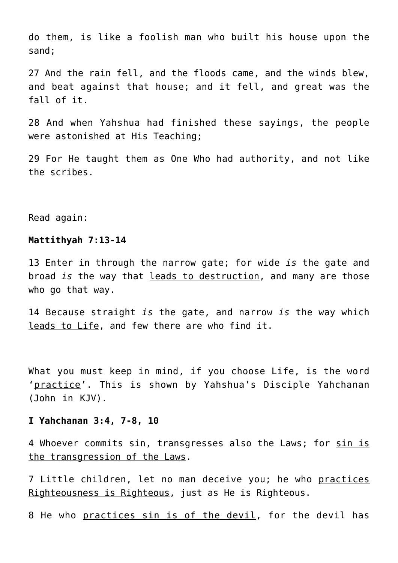do them, is like a foolish man who built his house upon the sand;

27 And the rain fell, and the floods came, and the winds blew, and beat against that house; and it fell, and great was the fall of it.

28 And when Yahshua had finished these sayings, the people were astonished at His Teaching;

29 For He taught them as One Who had authority, and not like the scribes.

Read again:

# **Mattithyah 7:13-14**

13 Enter in through the narrow gate; for wide *is* the gate and broad *is* the way that leads to destruction, and many are those who go that way.

14 Because straight *is* the gate, and narrow *is* the way which leads to Life, and few there are who find it.

What you must keep in mind, if you choose Life, is the word 'practice'. This is shown by Yahshua's Disciple Yahchanan (John in KJV).

### **I Yahchanan 3:4, 7-8, 10**

4 Whoever commits sin, transgresses also the Laws; for sin is the transgression of the Laws.

7 Little children, let no man deceive you; he who practices Righteousness is Righteous, just as He is Righteous.

8 He who practices sin is of the devil, for the devil has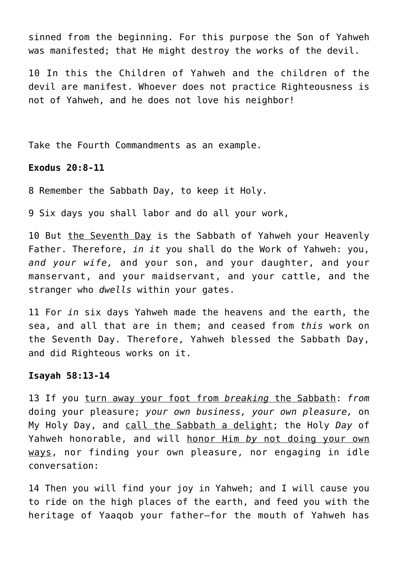sinned from the beginning. For this purpose the Son of Yahweh was manifested; that He might destroy the works of the devil.

10 In this the Children of Yahweh and the children of the devil are manifest. Whoever does not practice Righteousness is not of Yahweh, and he does not love his neighbor!

Take the Fourth Commandments as an example.

## **Exodus 20:8-11**

8 Remember the Sabbath Day, to keep it Holy.

9 Six days you shall labor and do all your work,

10 But the Seventh Day is the Sabbath of Yahweh your Heavenly Father. Therefore, *in it* you shall do the Work of Yahweh: you, *and your wife,* and your son, and your daughter, and your manservant, and your maidservant, and your cattle, and the stranger who *dwells* within your gates.

11 For *in* six days Yahweh made the heavens and the earth, the sea, and all that are in them; and ceased from *this* work on the Seventh Day. Therefore, Yahweh blessed the Sabbath Day, and did Righteous works on it.

#### **Isayah 58:13-14**

13 If you turn away your foot from *breaking* the Sabbath: *from* doing your pleasure; *your own business, your own pleasure,* on My Holy Day, and call the Sabbath a delight; the Holy *Day* of Yahweh honorable, and will honor Him *by* not doing your own ways, nor finding your own pleasure, nor engaging in idle conversation:

14 Then you will find your joy in Yahweh; and I will cause you to ride on the high places of the earth, and feed you with the heritage of Yaaqob your father—for the mouth of Yahweh has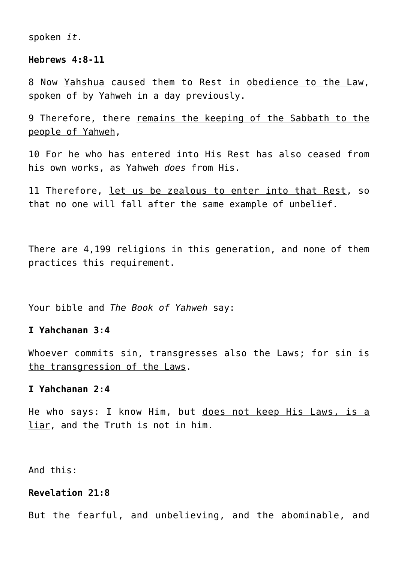spoken *it.*

#### **Hebrews 4:8-11**

8 Now Yahshua caused them to Rest in obedience to the Law, spoken of by Yahweh in a day previously.

9 Therefore, there remains the keeping of the Sabbath to the people of Yahweh,

10 For he who has entered into His Rest has also ceased from his own works, as Yahweh *does* from His.

11 Therefore, let us be zealous to enter into that Rest, so that no one will fall after the same example of unbelief.

There are 4,199 religions in this generation, and none of them practices this requirement.

Your bible and *The Book of Yahweh* say:

# **I Yahchanan 3:4**

Whoever commits sin, transgresses also the Laws; for sin is the transgression of the Laws.

#### **I Yahchanan 2:4**

He who says: I know Him, but does not keep His Laws, is a liar, and the Truth is not in him.

And this:

# **Revelation 21:8**

But the fearful, and unbelieving, and the abominable, and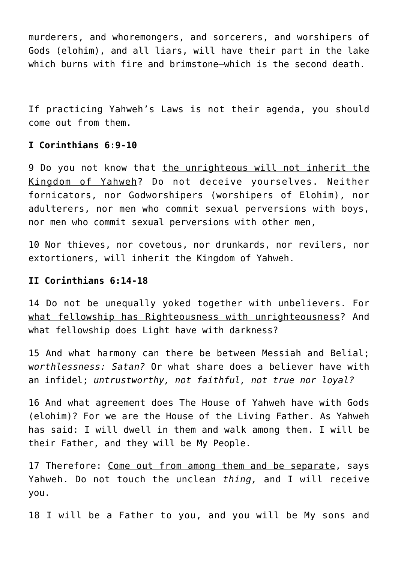murderers, and whoremongers, and sorcerers, and worshipers of Gods (elohim), and all liars, will have their part in the lake which burns with fire and brimstone—which is the second death.

If practicing Yahweh's Laws is not their agenda, you should come out from them.

# **I Corinthians 6:9-10**

9 Do you not know that the unrighteous will not inherit the Kingdom of Yahweh? Do not deceive yourselves. Neither fornicators, nor Godworshipers (worshipers of Elohim), nor adulterers, nor men who commit sexual perversions with boys, nor men who commit sexual perversions with other men,

10 Nor thieves, nor covetous, nor drunkards, nor revilers, nor extortioners, will inherit the Kingdom of Yahweh.

# **II Corinthians 6:14-18**

14 Do not be unequally yoked together with unbelievers. For what fellowship has Righteousness with unrighteousness? And what fellowship does Light have with darkness?

15 And what harmony can there be between Messiah and Belial; w*orthlessness: Satan?* Or what share does a believer have with an infidel; *untrustworthy, not faithful, not true nor loyal?*

16 And what agreement does The House of Yahweh have with Gods (elohim)? For we are the House of the Living Father. As Yahweh has said: I will dwell in them and walk among them. I will be their Father, and they will be My People.

17 Therefore: Come out from among them and be separate, says Yahweh. Do not touch the unclean *thing,* and I will receive you.

18 I will be a Father to you, and you will be My sons and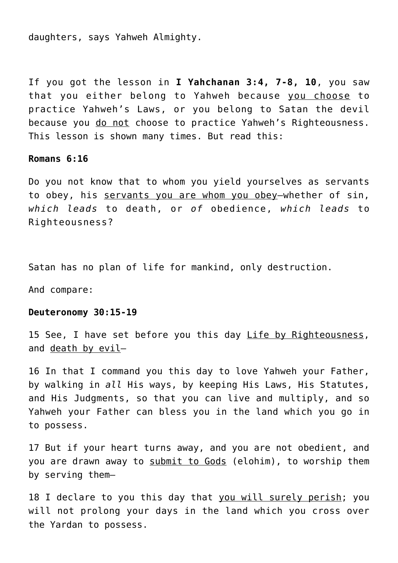daughters, says Yahweh Almighty.

If you got the lesson in **I Yahchanan 3:4, 7-8, 10**, you saw that you either belong to Yahweh because you choose to practice Yahweh's Laws, or you belong to Satan the devil because you do not choose to practice Yahweh's Righteousness. This lesson is shown many times. But read this:

#### **Romans 6:16**

Do you not know that to whom you yield yourselves as servants to obey, his servants you are whom you obey—whether of sin, *which leads* to death, or *of* obedience, *which leads* to Righteousness?

Satan has no plan of life for mankind, only destruction.

And compare:

#### **Deuteronomy 30:15-19**

15 See, I have set before you this day Life by Righteousness, and death by evil—

16 In that I command you this day to love Yahweh your Father, by walking in *all* His ways, by keeping His Laws, His Statutes, and His Judgments, so that you can live and multiply, and so Yahweh your Father can bless you in the land which you go in to possess.

17 But if your heart turns away, and you are not obedient, and you are drawn away to submit to Gods (elohim), to worship them by serving them—

18 I declare to you this day that you will surely perish; you will not prolong your days in the land which you cross over the Yardan to possess.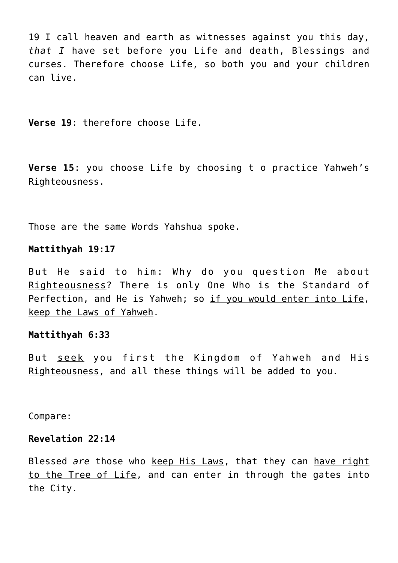19 I call heaven and earth as witnesses against you this day, *that I* have set before you Life and death, Blessings and curses. Therefore choose Life, so both you and your children can live.

**Verse 19**: therefore choose Life.

**Verse 15**: you choose Life by choosing t o practice Yahweh's Righteousness.

Those are the same Words Yahshua spoke.

#### **Mattithyah 19:17**

But He said to him: Why do you question Me about Righteousness? There is only One Who is the Standard of Perfection, and He is Yahweh; so if you would enter into Life, keep the Laws of Yahweh.

#### **Mattithyah 6:33**

But seek you first the Kingdom of Yahweh and His Righteousness, and all these things will be added to you.

Compare:

## **Revelation 22:14**

Blessed *are* those who keep His Laws, that they can have right to the Tree of Life, and can enter in through the gates into the City.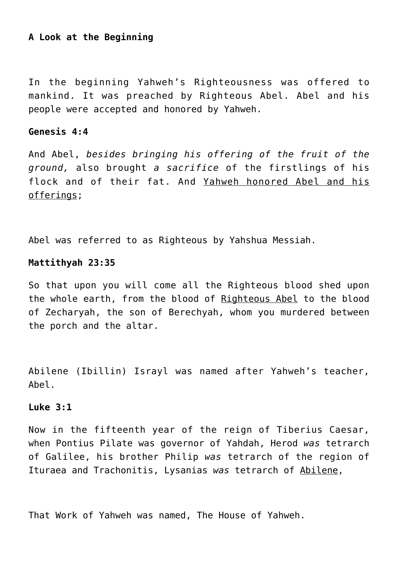# **A Look at the Beginning**

In the beginning Yahweh's Righteousness was offered to mankind. It was preached by Righteous Abel. Abel and his people were accepted and honored by Yahweh.

# **Genesis 4:4**

And Abel, *besides bringing his offering of the fruit of the ground,* also brought *a sacrifice* of the firstlings of his flock and of their fat. And Yahweh honored Abel and his offerings;

Abel was referred to as Righteous by Yahshua Messiah.

# **Mattithyah 23:35**

So that upon you will come all the Righteous blood shed upon the whole earth, from the blood of Righteous Abel to the blood of Zecharyah, the son of Berechyah, whom you murdered between the porch and the altar.

Abilene (Ibillin) Israyl was named after Yahweh's teacher, Abel.

## **Luke 3:1**

Now in the fifteenth year of the reign of Tiberius Caesar, when Pontius Pilate was governor of Yahdah, Herod *was* tetrarch of Galilee, his brother Philip *was* tetrarch of the region of Ituraea and Trachonitis, Lysanias *was* tetrarch of Abilene,

That Work of Yahweh was named, The House of Yahweh.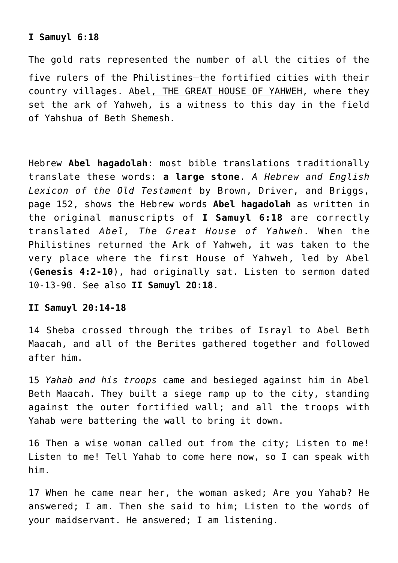## **I Samuyl 6:18**

The gold rats represented the number of all the cities of the five rulers of the Philistines-the fortified cities with their country villages. Abel, THE GREAT HOUSE OF YAHWEH, where they set the ark of Yahweh, is a witness to this day in the field of Yahshua of Beth Shemesh.

Hebrew **Abel hagadolah**: most bible translations traditionally translate these words: **a large stone**. *A Hebrew and English Lexicon of the Old Testament* by Brown, Driver, and Briggs, page 152, shows the Hebrew words **Abel hagadolah** as written in the original manuscripts of **I Samuyl 6:18** are correctly translated *Abel, The Great House of Yahweh*. When the Philistines returned the Ark of Yahweh, it was taken to the very place where the first House of Yahweh, led by Abel (**Genesis 4:2-10**), had originally sat. Listen to sermon dated 10-13-90. See also **II Samuyl 20:18**.

# **II Samuyl 20:14-18**

14 Sheba crossed through the tribes of Israyl to Abel Beth Maacah, and all of the Berites gathered together and followed after him.

15 *Yahab and his troops* came and besieged against him in Abel Beth Maacah. They built a siege ramp up to the city, standing against the outer fortified wall; and all the troops with Yahab were battering the wall to bring it down.

16 Then a wise woman called out from the city; Listen to me! Listen to me! Tell Yahab to come here now, so I can speak with him.

17 When he came near her, the woman asked; Are you Yahab? He answered; I am. Then she said to him; Listen to the words of your maidservant. He answered; I am listening.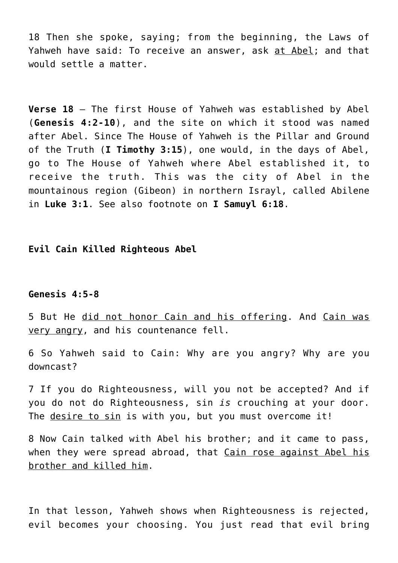18 Then she spoke, saying; from the beginning, the Laws of Yahweh have said: To receive an answer, ask at Abel; and that would settle a matter.

**Verse 18** – The first House of Yahweh was established by Abel (**Genesis 4:2-10**), and the site on which it stood was named after Abel. Since The House of Yahweh is the Pillar and Ground of the Truth (**I Timothy 3:15**), one would, in the days of Abel, go to The House of Yahweh where Abel established it, to receive the truth. This was the city of Abel in the mountainous region (Gibeon) in northern Israyl, called Abilene in **Luke 3:1**. See also footnote on **I Samuyl 6:18**.

# **Evil Cain Killed Righteous Abel**

#### **Genesis 4:5-8**

5 But He did not honor Cain and his offering. And Cain was very angry, and his countenance fell.

6 So Yahweh said to Cain: Why are you angry? Why are you downcast?

7 If you do Righteousness, will you not be accepted? And if you do not do Righteousness, sin *is* crouching at your door. The desire to sin is with you, but you must overcome it!

8 Now Cain talked with Abel his brother; and it came to pass, when they were spread abroad, that Cain rose against Abel his brother and killed him.

In that lesson, Yahweh shows when Righteousness is rejected, evil becomes your choosing. You just read that evil bring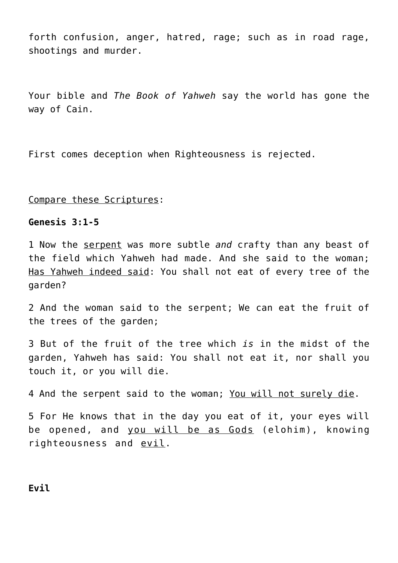forth confusion, anger, hatred, rage; such as in road rage, shootings and murder.

Your bible and *The Book of Yahweh* say the world has gone the way of Cain.

First comes deception when Righteousness is rejected.

## Compare these Scriptures:

## **Genesis 3:1-5**

1 Now the serpent was more subtle *and* crafty than any beast of the field which Yahweh had made. And she said to the woman; Has Yahweh indeed said: You shall not eat of every tree of the garden?

2 And the woman said to the serpent; We can eat the fruit of the trees of the garden;

3 But of the fruit of the tree which *is* in the midst of the garden, Yahweh has said: You shall not eat it, nor shall you touch it, or you will die.

4 And the serpent said to the woman; You will not surely die.

5 For He knows that in the day you eat of it, your eyes will be opened, and you will be as Gods (elohim), knowing righteousness and evil.

## **Evil**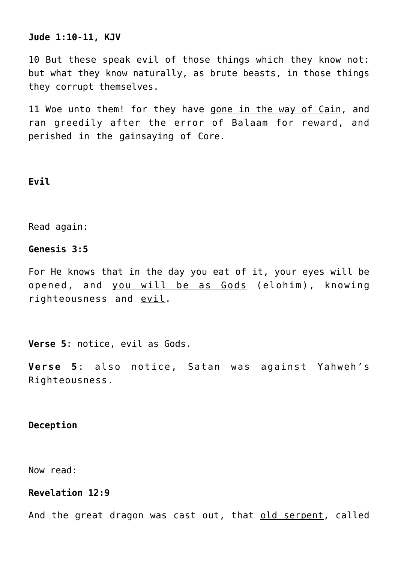#### **Jude 1:10-11, KJV**

10 But these speak evil of those things which they know not: but what they know naturally, as brute beasts, in those things they corrupt themselves.

11 Woe unto them! for they have gone in the way of Cain, and ran greedily after the error of Balaam for reward, and perished in the gainsaying of Core.

## **Evil**

Read again:

## **Genesis 3:5**

For He knows that in the day you eat of it, your eyes will be opened, and you will be as Gods (elohim), knowing righteousness and evil.

**Verse 5**: notice, evil as Gods.

**Verse 5**: also notice, Satan was against Yahweh's Righteousness.

## **Deception**

Now read:

#### **Revelation 12:9**

And the great dragon was cast out, that old serpent, called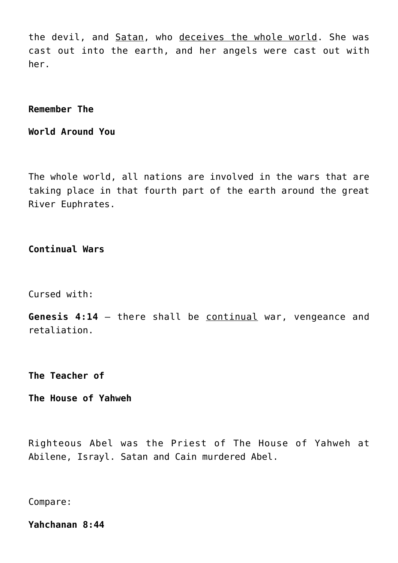the devil, and Satan, who deceives the whole world. She was cast out into the earth, and her angels were cast out with her.

**Remember The**

**World Around You**

The whole world, all nations are involved in the wars that are taking place in that fourth part of the earth around the great River Euphrates.

**Continual Wars**

Cursed with:

**Genesis 4:14** – there shall be continual war, vengeance and retaliation.

**The Teacher of**

**The House of Yahweh**

Righteous Abel was the Priest of The House of Yahweh at Abilene, Israyl. Satan and Cain murdered Abel.

Compare:

**Yahchanan 8:44**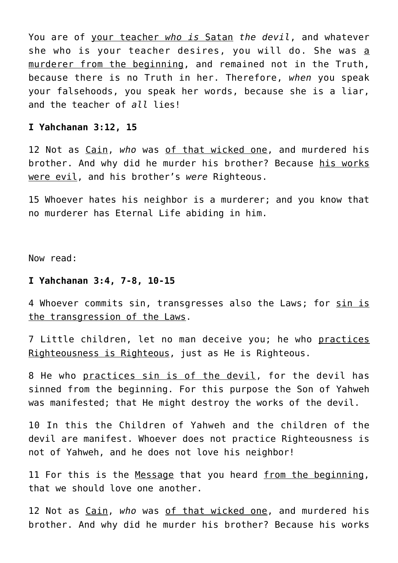You are of your teacher *who is* Satan *the devil*, and whatever she who is your teacher desires, you will do. She was a murderer from the beginning, and remained not in the Truth, because there is no Truth in her. Therefore, *when* you speak your falsehoods, you speak her words, because she is a liar, and the teacher of *all* lies!

## **I Yahchanan 3:12, 15**

12 Not as Cain, *who* was of that wicked one, and murdered his brother. And why did he murder his brother? Because his works were evil, and his brother's *were* Righteous.

15 Whoever hates his neighbor is a murderer; and you know that no murderer has Eternal Life abiding in him.

Now read:

#### **I Yahchanan 3:4, 7-8, 10-15**

4 Whoever commits sin, transgresses also the Laws; for sin is the transgression of the Laws.

7 Little children, let no man deceive you; he who practices Righteousness is Righteous, just as He is Righteous.

8 He who practices sin is of the devil, for the devil has sinned from the beginning. For this purpose the Son of Yahweh was manifested; that He might destroy the works of the devil.

10 In this the Children of Yahweh and the children of the devil are manifest. Whoever does not practice Righteousness is not of Yahweh, and he does not love his neighbor!

11 For this is the Message that you heard from the beginning, that we should love one another.

12 Not as Cain, *who* was of that wicked one, and murdered his brother. And why did he murder his brother? Because his works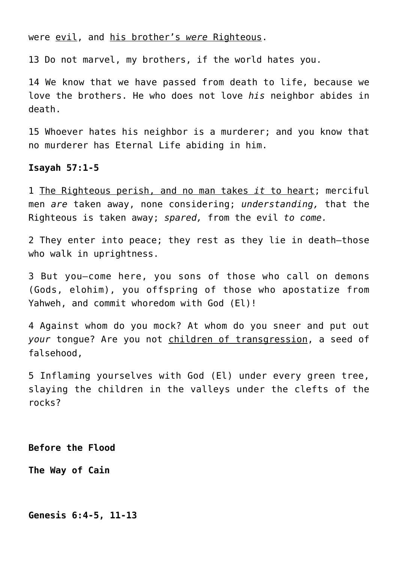were evil, and his brother's *were* Righteous.

13 Do not marvel, my brothers, if the world hates you.

14 We know that we have passed from death to life, because we love the brothers. He who does not love *his* neighbor abides in death.

15 Whoever hates his neighbor is a murderer; and you know that no murderer has Eternal Life abiding in him.

#### **Isayah 57:1-5**

1 The Righteous perish, and no man takes *it* to heart; merciful men *are* taken away, none considering; *understanding,* that the Righteous is taken away; *spared,* from the evil *to come.*

2 They enter into peace; they rest as they lie in death—those who walk in uprightness.

3 But you—come here, you sons of those who call on demons (Gods, elohim), you offspring of those who apostatize from Yahweh, and commit whoredom with God (El)!

4 Against whom do you mock? At whom do you sneer and put out *your* tongue? Are you not children of transgression, a seed of falsehood,

5 Inflaming yourselves with God (El) under every green tree, slaying the children in the valleys under the clefts of the rocks?

**Before the Flood**

**The Way of Cain**

**Genesis 6:4-5, 11-13**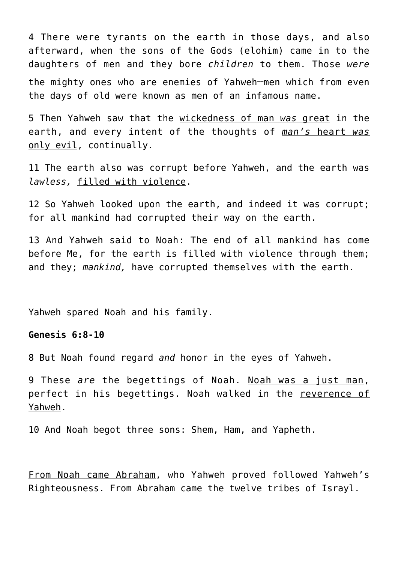4 There were tyrants on the earth in those days, and also afterward, when the sons of the Gods (elohim) came in to the daughters of men and they bore *children* to them. Those *were* the mighty ones who are enemies of Yahweh**\_\_**men which from even the days of old were known as men of an infamous name.

5 Then Yahweh saw that the wickedness of man *was* great in the earth, and every intent of the thoughts of *man's* heart *was* only evil, continually.

11 The earth also was corrupt before Yahweh, and the earth was *lawless,* filled with violence.

12 So Yahweh looked upon the earth, and indeed it was corrupt; for all mankind had corrupted their way on the earth.

13 And Yahweh said to Noah: The end of all mankind has come before Me, for the earth is filled with violence through them; and they; *mankind,* have corrupted themselves with the earth.

Yahweh spared Noah and his family.

# **Genesis 6:8-10**

8 But Noah found regard *and* honor in the eyes of Yahweh.

9 These *are* the begettings of Noah. Noah was a just man, perfect in his begettings. Noah walked in the reverence of Yahweh.

10 And Noah begot three sons: Shem, Ham, and Yapheth.

From Noah came Abraham, who Yahweh proved followed Yahweh's Righteousness. From Abraham came the twelve tribes of Israyl.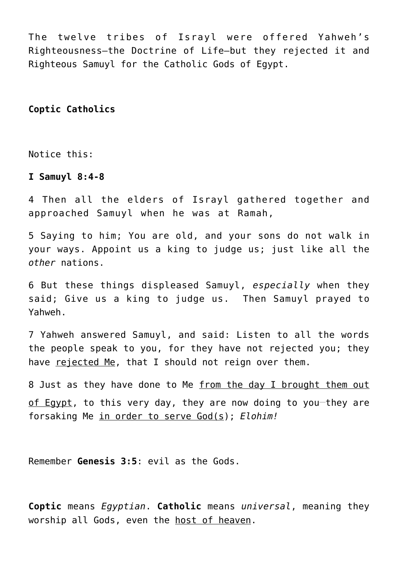The twelve tribes of Israyl were offered Yahweh's Righteousness—the Doctrine of Life—but they rejected it and Righteous Samuyl for the Catholic Gods of Egypt.

# **Coptic Catholics**

Notice this:

#### **I Samuyl 8:4-8**

4 Then all the elders of Israyl gathered together and approached Samuyl when he was at Ramah,

5 Saying to him; You are old, and your sons do not walk in your ways. Appoint us a king to judge us; just like all the *other* nations.

6 But these things displeased Samuyl, *especially* when they said; Give us a king to judge us. Then Samuyl prayed to Yahweh.

7 Yahweh answered Samuyl, and said: Listen to all the words the people speak to you, for they have not rejected you; they have rejected Me, that I should not reign over them.

8 Just as they have done to Me from the day I brought them out of Egypt, to this very day, they are now doing to you-they are forsaking Me in order to serve God(s); *Elohim!*

Remember **Genesis 3:5**: evil as the Gods.

**Coptic** means *Egyptian*. **Catholic** means *universal*, meaning they worship all Gods, even the host of heaven.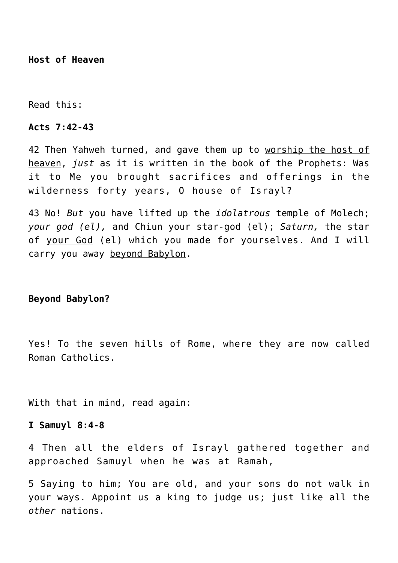**Host of Heaven**

Read this:

#### **Acts 7:42-43**

42 Then Yahweh turned, and gave them up to worship the host of heaven, *just* as it is written in the book of the Prophets: Was it to Me you brought sacrifices and offerings in the wilderness forty years, O house of Israyl?

43 No! *But* you have lifted up the *idolatrous* temple of Molech; *your god (el),* and Chiun your star-god (el); *Saturn,* the star of your God (el) which you made for yourselves. And I will carry you away beyond Babylon.

# **Beyond Babylon?**

Yes! To the seven hills of Rome, where they are now called Roman Catholics.

With that in mind, read again:

#### **I Samuyl 8:4-8**

4 Then all the elders of Israyl gathered together and approached Samuyl when he was at Ramah,

5 Saying to him; You are old, and your sons do not walk in your ways. Appoint us a king to judge us; just like all the *other* nations.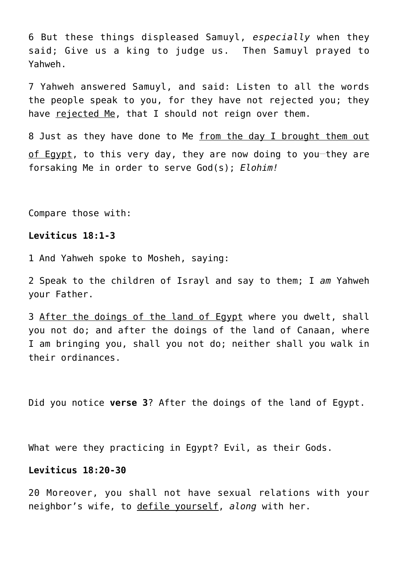6 But these things displeased Samuyl, *especially* when they said; Give us a king to judge us. Then Samuyl prayed to Yahweh.

7 Yahweh answered Samuyl, and said: Listen to all the words the people speak to you, for they have not rejected you; they have rejected Me, that I should not reign over them.

8 Just as they have done to Me from the day I brought them out of Egypt, to this very day, they are now doing to you-they are forsaking Me in order to serve God(s); *Elohim!*

Compare those with:

## **Leviticus 18:1-3**

1 And Yahweh spoke to Mosheh, saying:

2 Speak to the children of Israyl and say to them; I *am* Yahweh your Father.

3 After the doings of the land of Egypt where you dwelt, shall you not do; and after the doings of the land of Canaan, where I am bringing you, shall you not do; neither shall you walk in their ordinances.

Did you notice **verse 3**? After the doings of the land of Egypt.

What were they practicing in Egypt? Evil, as their Gods.

# **Leviticus 18:20-30**

20 Moreover, you shall not have sexual relations with your neighbor's wife, to defile yourself, *along* with her.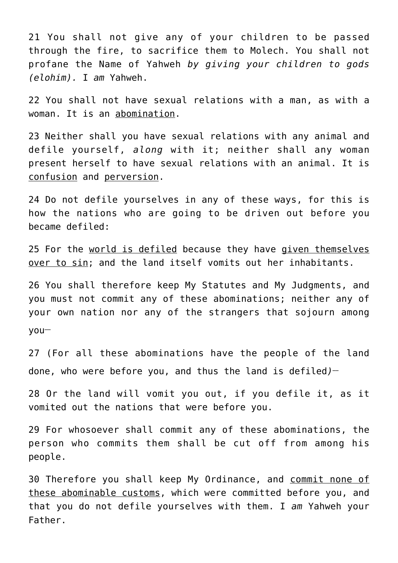21 You shall not give any of your children to be passed through the fire, to sacrifice them to Molech. You shall not profane the Name of Yahweh *by giving your children to gods (elohim).* I *am* Yahweh.

22 You shall not have sexual relations with a man, as with a woman. It is an abomination.

23 Neither shall you have sexual relations with any animal and defile yourself, *along* with it; neither shall any woman present herself to have sexual relations with an animal. It is confusion and perversion.

24 Do not defile yourselves in any of these ways, for this is how the nations who are going to be driven out before you became defiled:

25 For the world is defiled because they have given themselves over to sin; and the land itself vomits out her inhabitants.

26 You shall therefore keep My Statutes and My Judgments, and you must not commit any of these abominations; neither any of your own nation nor any of the strangers that sojourn among you**\_\_**

27 (For all these abominations have the people of the land done, who were before you, and thus the land is defiled*)* **\_\_**

28 Or the land will vomit you out, if you defile it, as it vomited out the nations that were before you.

29 For whosoever shall commit any of these abominations, the person who commits them shall be cut off from among his people.

30 Therefore you shall keep My Ordinance, and commit none of these abominable customs, which were committed before you, and that you do not defile yourselves with them. I *am* Yahweh your Father.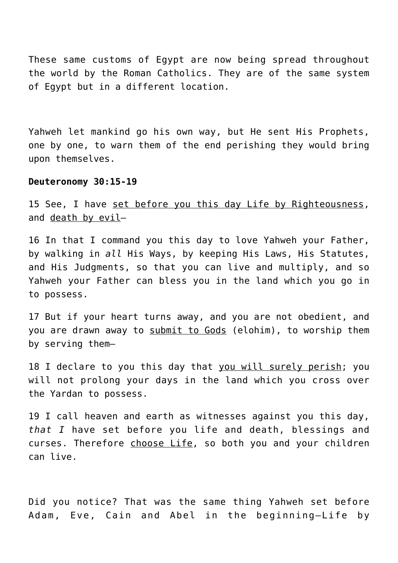These same customs of Egypt are now being spread throughout the world by the Roman Catholics. They are of the same system of Egypt but in a different location.

Yahweh let mankind go his own way, but He sent His Prophets, one by one, to warn them of the end perishing they would bring upon themselves.

#### **Deuteronomy 30:15-19**

15 See, I have set before you this day Life by Righteousness, and death by evil—

16 In that I command you this day to love Yahweh your Father, by walking in *all* His Ways, by keeping His Laws, His Statutes, and His Judgments, so that you can live and multiply, and so Yahweh your Father can bless you in the land which you go in to possess.

17 But if your heart turns away, and you are not obedient, and you are drawn away to submit to Gods (elohim), to worship them by serving them—

18 I declare to you this day that you will surely perish; you will not prolong your days in the land which you cross over the Yardan to possess.

19 I call heaven and earth as witnesses against you this day, *that I* have set before you life and death, blessings and curses. Therefore choose Life, so both you and your children can live.

Did you notice? That was the same thing Yahweh set before Adam, Eve, Cain and Abel in the beginning—Life by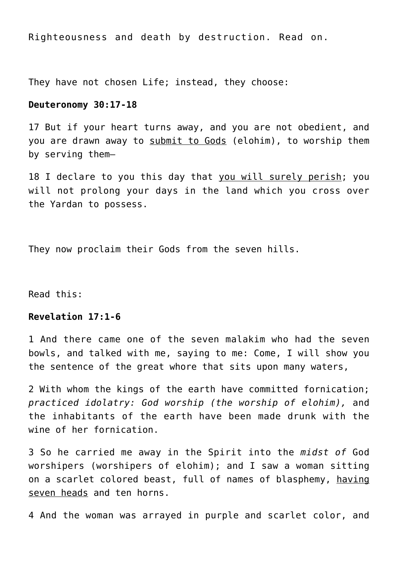Righteousness and death by destruction. Read on.

They have not chosen Life; instead, they choose:

#### **Deuteronomy 30:17-18**

17 But if your heart turns away, and you are not obedient, and you are drawn away to submit to Gods (elohim), to worship them by serving them—

18 I declare to you this day that you will surely perish; you will not prolong your days in the land which you cross over the Yardan to possess.

They now proclaim their Gods from the seven hills.

Read this:

## **Revelation 17:1-6**

1 And there came one of the seven malakim who had the seven bowls, and talked with me, saying to me: Come, I will show you the sentence of the great whore that sits upon many waters,

2 With whom the kings of the earth have committed fornication; *practiced idolatry: God worship (the worship of elohim),* and the inhabitants of the earth have been made drunk with the wine of her fornication.

3 So he carried me away in the Spirit into the *midst of* God worshipers (worshipers of elohim); and I saw a woman sitting on a scarlet colored beast, full of names of blasphemy, having seven heads and ten horns.

4 And the woman was arrayed in purple and scarlet color, and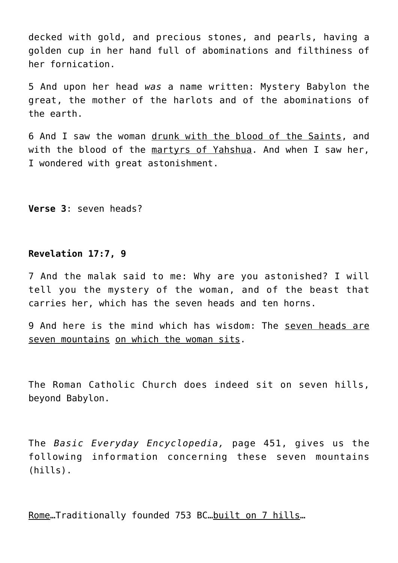decked with gold, and precious stones, and pearls, having a golden cup in her hand full of abominations and filthiness of her fornication.

5 And upon her head *was* a name written: Mystery Babylon the great, the mother of the harlots and of the abominations of the earth.

6 And I saw the woman drunk with the blood of the Saints, and with the blood of the martyrs of Yahshua. And when I saw her, I wondered with great astonishment.

**Verse 3**: seven heads?

# **Revelation 17:7, 9**

7 And the malak said to me: Why are you astonished? I will tell you the mystery of the woman, and of the beast that carries her, which has the seven heads and ten horns.

9 And here is the mind which has wisdom: The seven heads are seven mountains on which the woman sits.

The Roman Catholic Church does indeed sit on seven hills, beyond Babylon.

The *Basic Everyday Encyclopedia,* page 451, gives us the following information concerning these seven mountains (hills).

Rome…Traditionally founded 753 BC…built on 7 hills…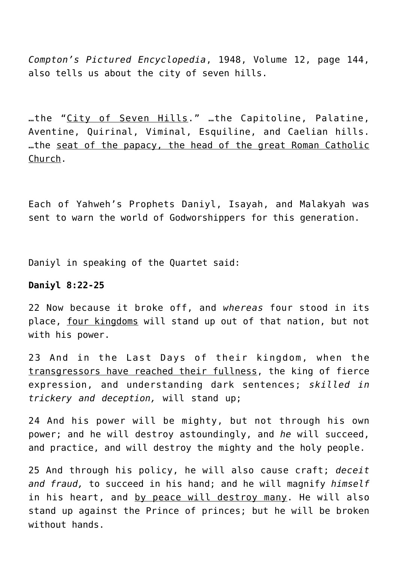*Compton's Pictured Encyclopedia*, 1948, Volume 12, page 144, also tells us about the city of seven hills.

…the "City of Seven Hills." …the Capitoline, Palatine, Aventine, Quirinal, Viminal, Esquiline, and Caelian hills. …the seat of the papacy, the head of the great Roman Catholic Church.

Each of Yahweh's Prophets Daniyl, Isayah, and Malakyah was sent to warn the world of Godworshippers for this generation.

Daniyl in speaking of the Quartet said:

# **Daniyl 8:22-25**

22 Now because it broke off, and *whereas* four stood in its place, four kingdoms will stand up out of that nation, but not with his power.

23 And in the Last Days of their kingdom, when the transgressors have reached their fullness, the king of fierce expression, and understanding dark sentences; *skilled in trickery and deception,* will stand up;

24 And his power will be mighty, but not through his own power; and he will destroy astoundingly, and *he* will succeed, and practice, and will destroy the mighty and the holy people.

25 And through his policy, he will also cause craft; *deceit and fraud,* to succeed in his hand; and he will magnify *himself* in his heart, and by peace will destroy many. He will also stand up against the Prince of princes; but he will be broken without hands.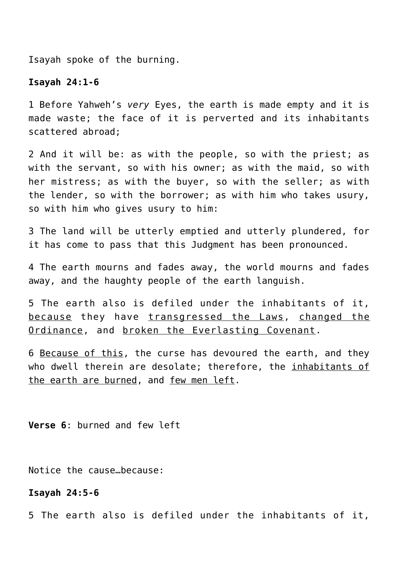Isayah spoke of the burning.

#### **Isayah 24:1-6**

1 Before Yahweh's *very* Eyes, the earth is made empty and it is made waste; the face of it is perverted and its inhabitants scattered abroad;

2 And it will be: as with the people, so with the priest; as with the servant, so with his owner; as with the maid, so with her mistress; as with the buyer, so with the seller; as with the lender, so with the borrower; as with him who takes usury, so with him who gives usury to him:

3 The land will be utterly emptied and utterly plundered, for it has come to pass that this Judgment has been pronounced.

4 The earth mourns and fades away, the world mourns and fades away, and the haughty people of the earth languish.

5 The earth also is defiled under the inhabitants of it, because they have transgressed the Laws, changed the Ordinance, and broken the Everlasting Covenant.

6 Because of this, the curse has devoured the earth, and they who dwell therein are desolate; therefore, the inhabitants of the earth are burned, and few men left.

**Verse 6**: burned and few left

Notice the cause…because:

#### **Isayah 24:5-6**

5 The earth also is defiled under the inhabitants of it,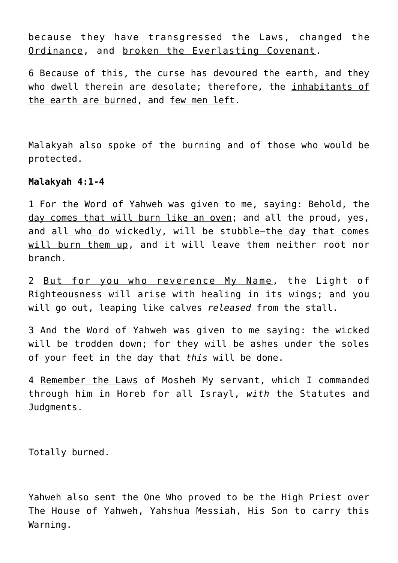because they have transgressed the Laws, changed the Ordinance, and broken the Everlasting Covenant.

6 Because of this, the curse has devoured the earth, and they who dwell therein are desolate; therefore, the inhabitants of the earth are burned, and few men left.

Malakyah also spoke of the burning and of those who would be protected.

## **Malakyah 4:1-4**

1 For the Word of Yahweh was given to me, saying: Behold, the day comes that will burn like an oven; and all the proud, yes, and all who do wickedly, will be stubble—the day that comes will burn them up, and it will leave them neither root nor branch.

2 But for you who reverence My Name, the Light of Righteousness will arise with healing in its wings; and you will go out, leaping like calves *released* from the stall.

3 And the Word of Yahweh was given to me saying: the wicked will be trodden down; for they will be ashes under the soles of your feet in the day that *this* will be done.

4 Remember the Laws of Mosheh My servant, which I commanded through him in Horeb for all Israyl, *with* the Statutes and Judgments.

Totally burned.

Yahweh also sent the One Who proved to be the High Priest over The House of Yahweh, Yahshua Messiah, His Son to carry this Warning.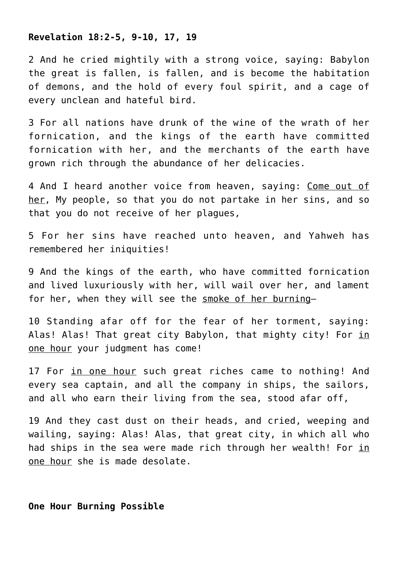#### **Revelation 18:2-5, 9-10, 17, 19**

2 And he cried mightily with a strong voice, saying: Babylon the great is fallen, is fallen, and is become the habitation of demons, and the hold of every foul spirit, and a cage of every unclean and hateful bird.

3 For all nations have drunk of the wine of the wrath of her fornication, and the kings of the earth have committed fornication with her, and the merchants of the earth have grown rich through the abundance of her delicacies.

4 And I heard another voice from heaven, saying: Come out of her, My people, so that you do not partake in her sins, and so that you do not receive of her plagues,

5 For her sins have reached unto heaven, and Yahweh has remembered her iniquities!

9 And the kings of the earth, who have committed fornication and lived luxuriously with her, will wail over her, and lament for her, when they will see the smoke of her burning—

10 Standing afar off for the fear of her torment, saying: Alas! Alas! That great city Babylon, that mighty city! For in one hour your judgment has come!

17 For in one hour such great riches came to nothing! And every sea captain, and all the company in ships, the sailors, and all who earn their living from the sea, stood afar off,

19 And they cast dust on their heads, and cried, weeping and wailing, saying: Alas! Alas, that great city, in which all who had ships in the sea were made rich through her wealth! For in one hour she is made desolate.

#### **One Hour Burning Possible**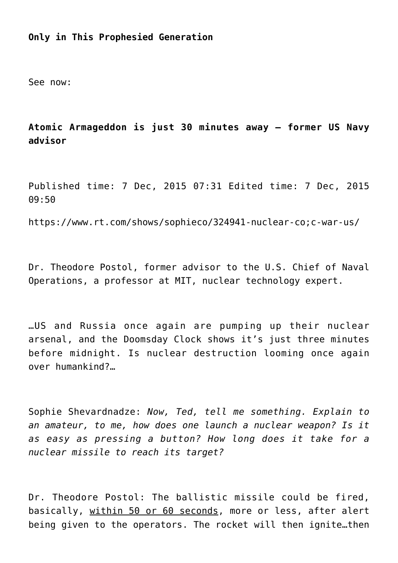# **Only in This Prophesied Generation**

See now:

**Atomic Armageddon is just 30 minutes away – former US Navy advisor**

Published time: 7 Dec, 2015 07:31 Edited time: 7 Dec, 2015 09:50

https://www.rt.com/shows/sophieco/324941-nuclear-co;c-war-us/

Dr. Theodore Postol, former advisor to the U.S. Chief of Naval Operations, a professor at MIT, nuclear technology expert.

…US and Russia once again are pumping up their nuclear arsenal, and the Doomsday Clock shows it's just three minutes before midnight. Is nuclear destruction looming once again over humankind?…

Sophie Shevardnadze: *Now, Ted, tell me something. Explain to an amateur, to me, how does one launch a nuclear weapon? Is it as easy as pressing a button? How long does it take for a nuclear missile to reach its target?*

Dr. Theodore Postol: The ballistic missile could be fired, basically, within 50 or 60 seconds, more or less, after alert being given to the operators. The rocket will then ignite…then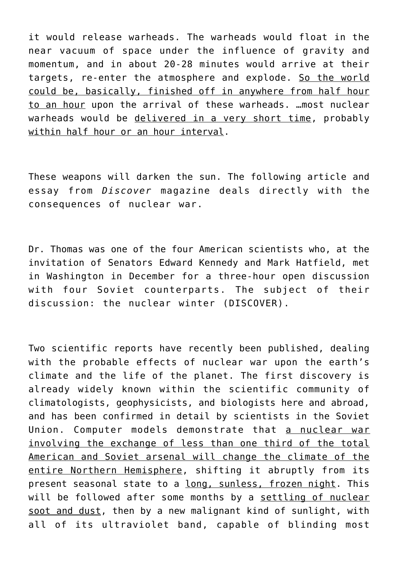it would release warheads. The warheads would float in the near vacuum of space under the influence of gravity and momentum, and in about 20-28 minutes would arrive at their targets, re-enter the atmosphere and explode. So the world could be, basically, finished off in anywhere from half hour to an hour upon the arrival of these warheads. …most nuclear warheads would be delivered in a very short time, probably within half hour or an hour interval.

These weapons will darken the sun. The following article and essay from *Discover* magazine deals directly with the consequences of nuclear war.

Dr. Thomas was one of the four American scientists who, at the invitation of Senators Edward Kennedy and Mark Hatfield, met in Washington in December for a three-hour open discussion with four Soviet counterparts. The subject of their discussion: the nuclear winter (DISCOVER).

Two scientific reports have recently been published, dealing with the probable effects of nuclear war upon the earth's climate and the life of the planet. The first discovery is already widely known within the scientific community of climatologists, geophysicists, and biologists here and abroad, and has been confirmed in detail by scientists in the Soviet Union. Computer models demonstrate that a nuclear war involving the exchange of less than one third of the total American and Soviet arsenal will change the climate of the entire Northern Hemisphere, shifting it abruptly from its present seasonal state to a long, sunless, frozen night. This will be followed after some months by a settling of nuclear soot and dust, then by a new malignant kind of sunlight, with all of its ultraviolet band, capable of blinding most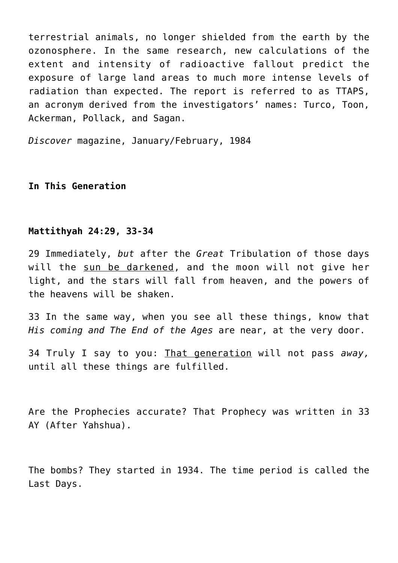terrestrial animals, no longer shielded from the earth by the ozonosphere. In the same research, new calculations of the extent and intensity of radioactive fallout predict the exposure of large land areas to much more intense levels of radiation than expected. The report is referred to as TTAPS, an acronym derived from the investigators' names: Turco, Toon, Ackerman, Pollack, and Sagan.

*Discover* magazine, January/February, 1984

# **In This Generation**

# **Mattithyah 24:29, 33-34**

29 Immediately, *but* after the *Great* Tribulation of those days will the sun be darkened, and the moon will not give her light, and the stars will fall from heaven, and the powers of the heavens will be shaken.

33 In the same way, when you see all these things, know that *His coming and The End of the Ages* are near, at the very door.

34 Truly I say to you: That generation will not pass *away,* until all these things are fulfilled.

Are the Prophecies accurate? That Prophecy was written in 33 AY (After Yahshua).

The bombs? They started in 1934. The time period is called the Last Days.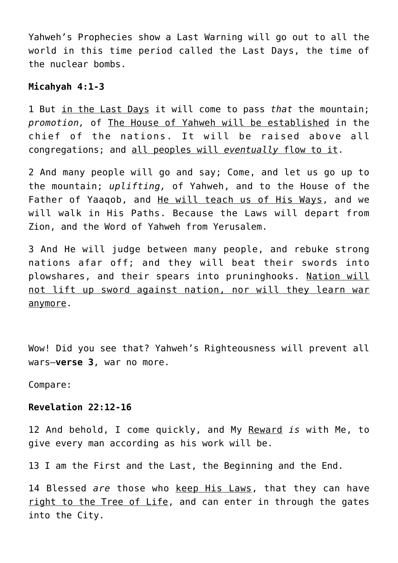Yahweh's Prophecies show a Last Warning will go out to all the world in this time period called the Last Days, the time of the nuclear bombs.

## **Micahyah 4:1-3**

1 But in the Last Days it will come to pass *that* the mountain; *promotion,* of The House of Yahweh will be established in the chief of the nations. It will be raised above all congregations; and all peoples will *eventually* flow to it.

2 And many people will go and say; Come, and let us go up to the mountain; *uplifting,* of Yahweh, and to the House of the Father of Yaaqob, and He will teach us of His Ways, and we will walk in His Paths. Because the Laws will depart from Zion, and the Word of Yahweh from Yerusalem.

3 And He will judge between many people, and rebuke strong nations afar off; and they will beat their swords into plowshares, and their spears into pruninghooks. Nation will not lift up sword against nation, nor will they learn war anymore.

Wow! Did you see that? Yahweh's Righteousness will prevent all wars—**verse 3**, war no more.

Compare:

# **Revelation 22:12-16**

12 And behold, I come quickly, and My Reward *is* with Me, to give every man according as his work will be.

13 I am the First and the Last, the Beginning and the End.

14 Blessed *are* those who keep His Laws, that they can have right to the Tree of Life, and can enter in through the gates into the City.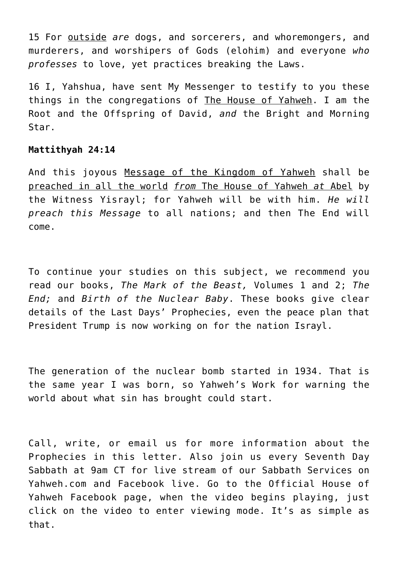15 For outside *are* dogs, and sorcerers, and whoremongers, and murderers, and worshipers of Gods (elohim) and everyone *who professes* to love, yet practices breaking the Laws.

16 I, Yahshua, have sent My Messenger to testify to you these things in the congregations of The House of Yahweh. I am the Root and the Offspring of David, *and* the Bright and Morning Star.

# **Mattithyah 24:14**

And this joyous Message of the Kingdom of Yahweh shall be preached in all the world *from* The House of Yahweh *at* Abel by the Witness Yisrayl; for Yahweh will be with him. *He will preach this Message* to all nations; and then The End will come.

To continue your studies on this subject, we recommend you read our books, *The Mark of the Beast,* Volumes 1 and 2; *The End;* and *Birth of the Nuclear Baby*. These books give clear details of the Last Days' Prophecies, even the peace plan that President Trump is now working on for the nation Israyl.

The generation of the nuclear bomb started in 1934. That is the same year I was born, so Yahweh's Work for warning the world about what sin has brought could start.

Call, write, or email us for more information about the Prophecies in this letter. Also join us every Seventh Day Sabbath at 9am CT for live stream of our Sabbath Services on Yahweh.com and Facebook live. Go to the Official House of Yahweh Facebook page, when the video begins playing, just click on the video to enter viewing mode. It's as simple as that.